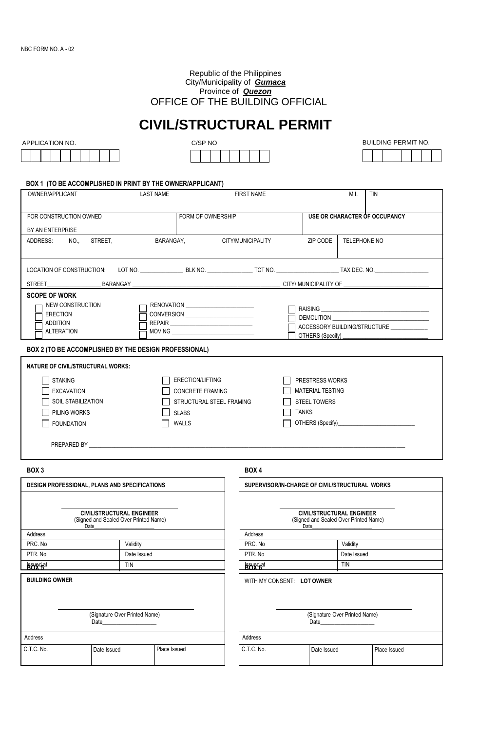#### Republic of the Philippines City/Municipality of *Gumaca* Province of *Quezon* OFFICE OF THE BUILDING OFFICIAL

# **CIVIL/STRUCTURAL PERMIT**



| BUILDING PERMIT NO. |  |
|---------------------|--|
|                     |  |



#### **BOX 1 (TO BE ACCOMPLISHED IN PRINT BY THE OWNER/APPLICANT)**

| OWNER/APPLICANT                                                                                                                                                                                                                                                                                                                                                                                                                                                                                                |                                                                           | <b>LAST NAME</b>                                                                                 | <b>FIRST NAME</b> |                                                                                   |                                                                                                                                                                                                                                                                                                                              | M.I.                          | TIN          |  |
|----------------------------------------------------------------------------------------------------------------------------------------------------------------------------------------------------------------------------------------------------------------------------------------------------------------------------------------------------------------------------------------------------------------------------------------------------------------------------------------------------------------|---------------------------------------------------------------------------|--------------------------------------------------------------------------------------------------|-------------------|-----------------------------------------------------------------------------------|------------------------------------------------------------------------------------------------------------------------------------------------------------------------------------------------------------------------------------------------------------------------------------------------------------------------------|-------------------------------|--------------|--|
| FOR CONSTRUCTION OWNED                                                                                                                                                                                                                                                                                                                                                                                                                                                                                         |                                                                           | FORM OF OWNERSHIP                                                                                |                   |                                                                                   | <b>USE OR CHARACTER OF OCCUPANCY</b>                                                                                                                                                                                                                                                                                         |                               |              |  |
| BY AN ENTERPRISE                                                                                                                                                                                                                                                                                                                                                                                                                                                                                               |                                                                           |                                                                                                  |                   |                                                                                   |                                                                                                                                                                                                                                                                                                                              |                               |              |  |
| ADDRESS:<br>NO.,                                                                                                                                                                                                                                                                                                                                                                                                                                                                                               | STREET.                                                                   | BARANGAY,                                                                                        | CITY/MUNICIPALITY |                                                                                   |                                                                                                                                                                                                                                                                                                                              | TELEPHONE NO                  |              |  |
|                                                                                                                                                                                                                                                                                                                                                                                                                                                                                                                |                                                                           |                                                                                                  |                   |                                                                                   |                                                                                                                                                                                                                                                                                                                              |                               |              |  |
|                                                                                                                                                                                                                                                                                                                                                                                                                                                                                                                |                                                                           |                                                                                                  |                   |                                                                                   |                                                                                                                                                                                                                                                                                                                              |                               |              |  |
| <b>SCOPE OF WORK</b><br>NEW CONSTRUCTION<br>CONVERSION ______________________<br><b>ERECTION</b><br><b>ADDITION</b><br><b>ALTERATION</b><br>$\begin{picture}(180,10) \put(0,0){\vector(1,0){100}} \put(15,0){\vector(1,0){100}} \put(15,0){\vector(1,0){100}} \put(15,0){\vector(1,0){100}} \put(15,0){\vector(1,0){100}} \put(15,0){\vector(1,0){100}} \put(15,0){\vector(1,0){100}} \put(15,0){\vector(1,0){100}} \put(15,0){\vector(1,0){100}} \put(15,0){\vector(1,0){100}} \put(15,0){\vector(1,0){100}}$ |                                                                           |                                                                                                  |                   | <b>DEMOLITION</b><br>ACCESSORY BUILDING/STRUCTURE ___________<br>OTHERS (Specify) |                                                                                                                                                                                                                                                                                                                              |                               |              |  |
| BOX 2 (TO BE ACCOMPLISHED BY THE DESIGN PROFESSIONAL)                                                                                                                                                                                                                                                                                                                                                                                                                                                          |                                                                           |                                                                                                  |                   |                                                                                   |                                                                                                                                                                                                                                                                                                                              |                               |              |  |
| NATURE OF CIVIL/STRUCTURAL WORKS:<br><b>STAKING</b><br><b>EXCAVATION</b><br><b>SOIL STABILIZATION</b><br>PILING WORKS<br><b>FOUNDATION</b>                                                                                                                                                                                                                                                                                                                                                                     |                                                                           | <b>ERECTION/LIFTING</b><br>CONCRETE FRAMING<br>STRUCTURAL STEEL FRAMING<br><b>SLABS</b><br>WALLS |                   |                                                                                   | <b>PRESTRESS WORKS</b><br><b>MATERIAL TESTING</b><br><b>STEEL TOWERS</b><br><b>TANKS</b><br>OTHERS (Specify)<br>Subset of the state of the state of the state of the state of the state of the state of the state of the state of the state of the state of the state of the state of the state of the state of the state of |                               |              |  |
| BOX <sub>3</sub>                                                                                                                                                                                                                                                                                                                                                                                                                                                                                               |                                                                           |                                                                                                  |                   | BOX 4                                                                             |                                                                                                                                                                                                                                                                                                                              |                               |              |  |
| DESIGN PROFESSIONAL, PLANS AND SPECIFICATIONS                                                                                                                                                                                                                                                                                                                                                                                                                                                                  |                                                                           |                                                                                                  |                   | SUPERVISOR/IN-CHARGE OF CIVIL/STRUCTURAL WORKS                                    |                                                                                                                                                                                                                                                                                                                              |                               |              |  |
| Date                                                                                                                                                                                                                                                                                                                                                                                                                                                                                                           | <b>CIVIL/STRUCTURAL ENGINEER</b><br>(Signed and Sealed Over Printed Name) |                                                                                                  |                   |                                                                                   | <b>CIVIL/STRUCTURAL ENGINEER</b><br>(Signed and Sealed Over Printed Name)<br>Date                                                                                                                                                                                                                                            |                               |              |  |
| Address                                                                                                                                                                                                                                                                                                                                                                                                                                                                                                        |                                                                           |                                                                                                  |                   | Address<br>PRC. No                                                                |                                                                                                                                                                                                                                                                                                                              |                               |              |  |
| PRC. No<br>PTR. No                                                                                                                                                                                                                                                                                                                                                                                                                                                                                             | Date Issued                                                               | Validity                                                                                         |                   |                                                                                   |                                                                                                                                                                                                                                                                                                                              | Validity<br>Date Issued       |              |  |
| <b>Roygd<sub>at</sub></b>                                                                                                                                                                                                                                                                                                                                                                                                                                                                                      | <b>TIN</b>                                                                |                                                                                                  |                   | PTR. No<br><b>Brygdat</b>                                                         |                                                                                                                                                                                                                                                                                                                              | TIN                           |              |  |
|                                                                                                                                                                                                                                                                                                                                                                                                                                                                                                                |                                                                           |                                                                                                  |                   |                                                                                   |                                                                                                                                                                                                                                                                                                                              |                               |              |  |
| <b>BUILDING OWNER</b>                                                                                                                                                                                                                                                                                                                                                                                                                                                                                          | (Signature Over Printed Name)<br>Date                                     |                                                                                                  |                   | WITH MY CONSENT: LOT OWNER                                                        | Date                                                                                                                                                                                                                                                                                                                         | (Signature Over Printed Name) |              |  |
| Address                                                                                                                                                                                                                                                                                                                                                                                                                                                                                                        |                                                                           |                                                                                                  |                   | Address                                                                           |                                                                                                                                                                                                                                                                                                                              |                               |              |  |
| C.T.C. No.                                                                                                                                                                                                                                                                                                                                                                                                                                                                                                     | Date Issued                                                               | Place Issued                                                                                     |                   | C.T.C. No.                                                                        | Date Issued                                                                                                                                                                                                                                                                                                                  |                               | Place Issued |  |